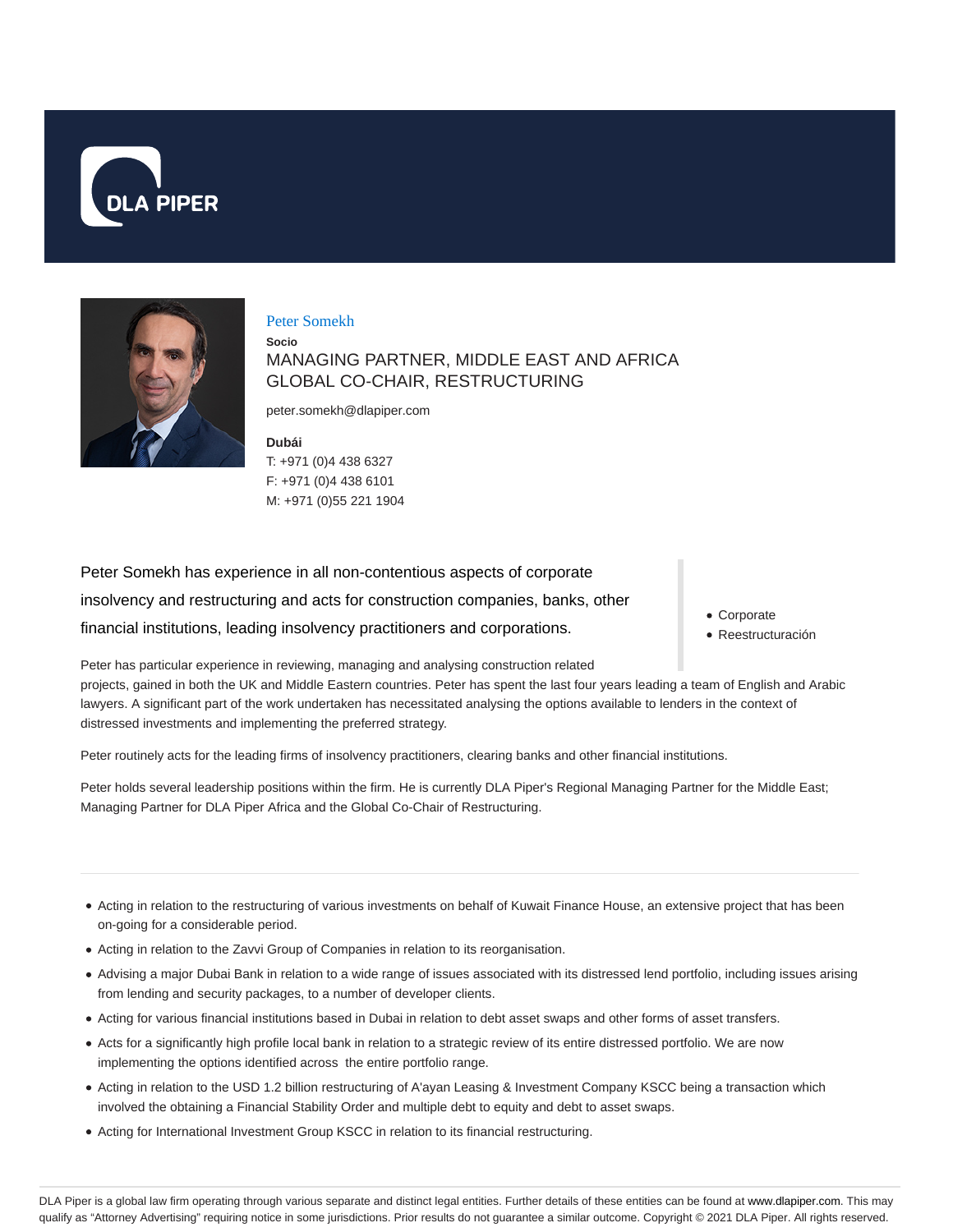



### Peter Somekh

## **Socio** MANAGING PARTNER, MIDDLE EAST AND AFRICA GLOBAL CO-CHAIR, RESTRUCTURING

peter.somekh@dlapiper.com

**Dubái** T: +971 (0)4 438 6327 F: +971 (0)4 438 6101 M: +971 (0)55 221 1904

Peter Somekh has experience in all non-contentious aspects of corporate insolvency and restructuring and acts for construction companies, banks, other financial institutions, leading insolvency practitioners and corporations.

Corporate

Reestructuración

Peter has particular experience in reviewing, managing and analysing construction related projects, gained in both the UK and Middle Eastern countries. Peter has spent the last four years leading a team of English and Arabic lawyers. A significant part of the work undertaken has necessitated analysing the options available to lenders in the context of distressed investments and implementing the preferred strategy.

Peter routinely acts for the leading firms of insolvency practitioners, clearing banks and other financial institutions.

Peter holds several leadership positions within the firm. He is currently DLA Piper's Regional Managing Partner for the Middle East; Managing Partner for DLA Piper Africa and the Global Co-Chair of Restructuring.

- Acting in relation to the restructuring of various investments on behalf of Kuwait Finance House, an extensive project that has been on-going for a considerable period.
- Acting in relation to the Zavvi Group of Companies in relation to its reorganisation.
- Advising a major Dubai Bank in relation to a wide range of issues associated with its distressed lend portfolio, including issues arising from lending and security packages, to a number of developer clients.
- Acting for various financial institutions based in Dubai in relation to debt asset swaps and other forms of asset transfers.
- Acts for a significantly high profile local bank in relation to a strategic review of its entire distressed portfolio. We are now implementing the options identified across the entire portfolio range.
- Acting in relation to the USD 1.2 billion restructuring of A'ayan Leasing & Investment Company KSCC being a transaction which involved the obtaining a Financial Stability Order and multiple debt to equity and debt to asset swaps.
- Acting for International Investment Group KSCC in relation to its financial restructuring.